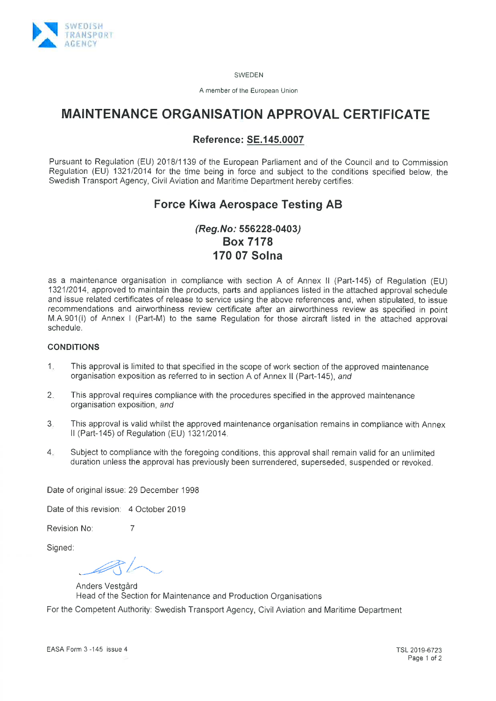

SWEDEN

A member of the European Union

# MAINTENANCE ORGANISATION APPROVAL CERTIFICATE

### Reference: SE.1 45.0007

Pursuant to Regulation (EU) 2018/1139 of the European Parliament and of the Council and to Commission Regulation (EU) 1321/2014 for the time being in force and subject to the conditions specified below, the Swedish Transport Agency, Civil Aviation and Maritime Department hereby certifies:

# Force Kiwa Aerospace Testing AB

## (Reg.No: 556228-0403) Box 7178 174 07 Solna

as a maintenance organisation in compliance with section A of Annex ll (Part-145) of Regulation (EU) 132112014, approved to maintain the products, parts and appliances listed in the attached approval schedule and issue related certificates of release to service using the above references and, when stipulated, to issue recommendations and airworthiness review certificate after an airworthlness review as specified in point M.4.901(l) of Annex I (Part-M) to the same Regulation for those aircraft listed in the attached approval schedule.

#### CONDITIONS

- This approval is limited to that specified in the scope of work section of the approved maintenance organisation exposition as referred to in section A of Annex ll (Part-145), and 1
- This approval requires compliance with the procedures specified in the approved maintenance organisation exposition, and 2.
- This approval is valid whilst the approved maintenance organisation remains in compliance wlth Annex ll (Part-145) of Regulation (EU) 1321/2014. â
- Subject to compliance with the foregoing conditions, this approval shall remain valid for an unlimited duration unless the approvai has previously been surrendered, superseded, suspended or revoked. 4

Date of original issue: 29 December 1998

Date of this revision: 4 October 2019

Revision No: 7

Signed:

 $\bigcup$ 

Anders Vestgård Head of the Section for Maintenance and Production Organisations

For the Competent Authority: Swedish Transport Agency, Civil Aviation and Maritime Department